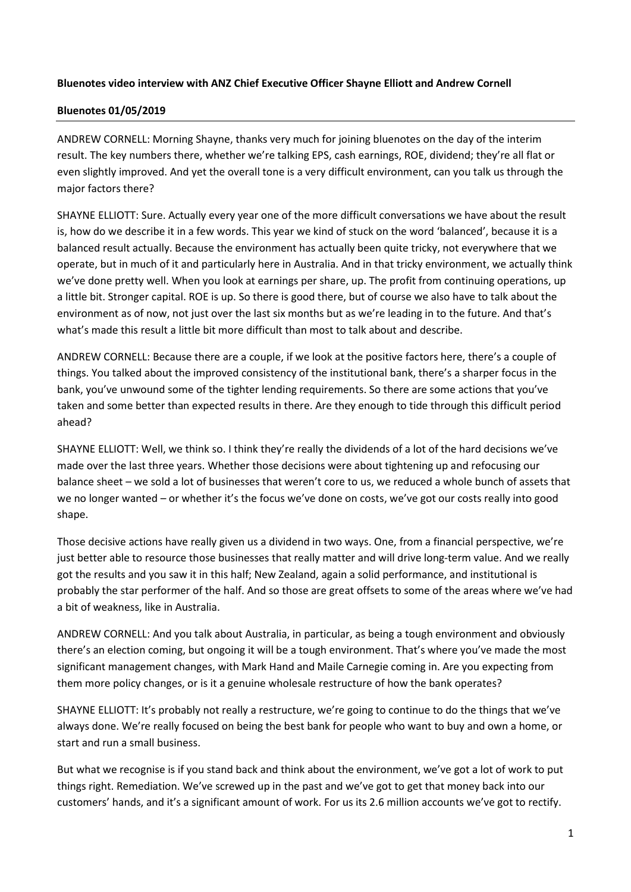## **Bluenotes video interview with ANZ Chief Executive Officer Shayne Elliott and Andrew Cornell**

## **Bluenotes 01/05/2019**

ANDREW CORNELL: Morning Shayne, thanks very much for joining bluenotes on the day of the interim result. The key numbers there, whether we're talking EPS, cash earnings, ROE, dividend; they're all flat or even slightly improved. And yet the overall tone is a very difficult environment, can you talk us through the major factors there?

SHAYNE ELLIOTT: Sure. Actually every year one of the more difficult conversations we have about the result is, how do we describe it in a few words. This year we kind of stuck on the word 'balanced', because it is a balanced result actually. Because the environment has actually been quite tricky, not everywhere that we operate, but in much of it and particularly here in Australia. And in that tricky environment, we actually think we've done pretty well. When you look at earnings per share, up. The profit from continuing operations, up a little bit. Stronger capital. ROE is up. So there is good there, but of course we also have to talk about the environment as of now, not just over the last six months but as we're leading in to the future. And that's what's made this result a little bit more difficult than most to talk about and describe.

ANDREW CORNELL: Because there are a couple, if we look at the positive factors here, there's a couple of things. You talked about the improved consistency of the institutional bank, there's a sharper focus in the bank, you've unwound some of the tighter lending requirements. So there are some actions that you've taken and some better than expected results in there. Are they enough to tide through this difficult period ahead?

SHAYNE ELLIOTT: Well, we think so. I think they're really the dividends of a lot of the hard decisions we've made over the last three years. Whether those decisions were about tightening up and refocusing our balance sheet – we sold a lot of businesses that weren't core to us, we reduced a whole bunch of assets that we no longer wanted – or whether it's the focus we've done on costs, we've got our costs really into good shape.

Those decisive actions have really given us a dividend in two ways. One, from a financial perspective, we're just better able to resource those businesses that really matter and will drive long-term value. And we really got the results and you saw it in this half; New Zealand, again a solid performance, and institutional is probably the star performer of the half. And so those are great offsets to some of the areas where we've had a bit of weakness, like in Australia.

ANDREW CORNELL: And you talk about Australia, in particular, as being a tough environment and obviously there's an election coming, but ongoing it will be a tough environment. That's where you've made the most significant management changes, with Mark Hand and Maile Carnegie coming in. Are you expecting from them more policy changes, or is it a genuine wholesale restructure of how the bank operates?

SHAYNE ELLIOTT: It's probably not really a restructure, we're going to continue to do the things that we've always done. We're really focused on being the best bank for people who want to buy and own a home, or start and run a small business.

But what we recognise is if you stand back and think about the environment, we've got a lot of work to put things right. Remediation. We've screwed up in the past and we've got to get that money back into our customers' hands, and it's a significant amount of work. For us its 2.6 million accounts we've got to rectify.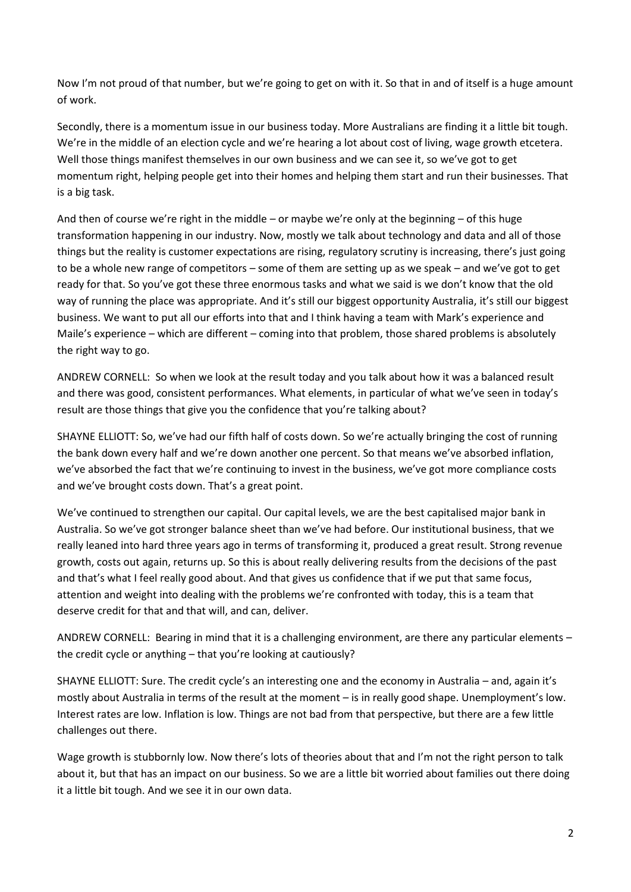Now I'm not proud of that number, but we're going to get on with it. So that in and of itself is a huge amount of work.

Secondly, there is a momentum issue in our business today. More Australians are finding it a little bit tough. We're in the middle of an election cycle and we're hearing a lot about cost of living, wage growth etcetera. Well those things manifest themselves in our own business and we can see it, so we've got to get momentum right, helping people get into their homes and helping them start and run their businesses. That is a big task.

And then of course we're right in the middle – or maybe we're only at the beginning – of this huge transformation happening in our industry. Now, mostly we talk about technology and data and all of those things but the reality is customer expectations are rising, regulatory scrutiny is increasing, there's just going to be a whole new range of competitors – some of them are setting up as we speak – and we've got to get ready for that. So you've got these three enormous tasks and what we said is we don't know that the old way of running the place was appropriate. And it's still our biggest opportunity Australia, it's still our biggest business. We want to put all our efforts into that and I think having a team with Mark's experience and Maile's experience – which are different – coming into that problem, those shared problems is absolutely the right way to go.

ANDREW CORNELL: So when we look at the result today and you talk about how it was a balanced result and there was good, consistent performances. What elements, in particular of what we've seen in today's result are those things that give you the confidence that you're talking about?

SHAYNE ELLIOTT: So, we've had our fifth half of costs down. So we're actually bringing the cost of running the bank down every half and we're down another one percent. So that means we've absorbed inflation, we've absorbed the fact that we're continuing to invest in the business, we've got more compliance costs and we've brought costs down. That's a great point.

We've continued to strengthen our capital. Our capital levels, we are the best capitalised major bank in Australia. So we've got stronger balance sheet than we've had before. Our institutional business, that we really leaned into hard three years ago in terms of transforming it, produced a great result. Strong revenue growth, costs out again, returns up. So this is about really delivering results from the decisions of the past and that's what I feel really good about. And that gives us confidence that if we put that same focus, attention and weight into dealing with the problems we're confronted with today, this is a team that deserve credit for that and that will, and can, deliver.

ANDREW CORNELL: Bearing in mind that it is a challenging environment, are there any particular elements – the credit cycle or anything – that you're looking at cautiously?

SHAYNE ELLIOTT: Sure. The credit cycle's an interesting one and the economy in Australia – and, again it's mostly about Australia in terms of the result at the moment – is in really good shape. Unemployment's low. Interest rates are low. Inflation is low. Things are not bad from that perspective, but there are a few little challenges out there.

Wage growth is stubbornly low. Now there's lots of theories about that and I'm not the right person to talk about it, but that has an impact on our business. So we are a little bit worried about families out there doing it a little bit tough. And we see it in our own data.